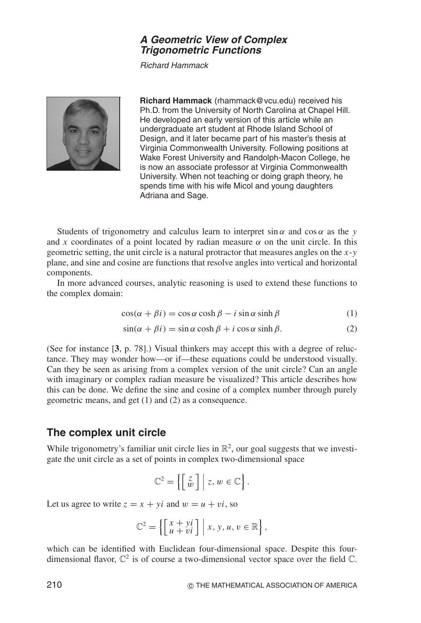## **A Geometric View of Complex Trigonometric Functions**

Richard Hammack



**Richard Hammack** (rhammack@vcu.edu) received his Ph.D. from the University of North Carolina at Chapel Hill. He developed an early version of this article while an undergraduate art student at Rhode Island School of Design, and it later became part of his master's thesis at Virginia Commonwealth University. Following positions at Wake Forest University and Randolph-Macon College, he is now an associate professor at Virginia Commonwealth University. When not teaching or doing graph theory, he spends time with his wife Micol and young daughters Adriana and Sage.

Students of trigonometry and calculus learn to interpret  $\sin \alpha$  and  $\cos \alpha$  as the *y* and *x* coordinates of a point located by radian measure  $\alpha$  on the unit circle. In this geometric setting, the unit circle is a natural protractor that measures angles on the *x*-*y* plane, and sine and cosine are functions that resolve angles into vertical and horizontal components.

In more advanced courses, analytic reasoning is used to extend these functions to the complex domain:

$$
\cos(\alpha + \beta i) = \cos \alpha \cosh \beta - i \sin \alpha \sinh \beta \tag{1}
$$

$$
\sin(\alpha + \beta i) = \sin \alpha \cosh \beta + i \cos \alpha \sinh \beta. \tag{2}
$$

(See for instance [**3**, p. 78].) Visual thinkers may accept this with a degree of reluctance. They may wonder how—or if—these equations could be understood visually. Can they be seen as arising from a complex version of the unit circle? Can an angle with imaginary or complex radian measure be visualized? This article describes how this can be done. We define the sine and cosine of a complex number through purely geometric means, and get (1) and (2) as a consequence.

# **The complex unit circle**

While trigonometry's familiar unit circle lies in  $\mathbb{R}^2$ , our goal suggests that we investigate the unit circle as a set of points in complex two-dimensional space

$$
\mathbb{C}^2 = \left\{ \begin{bmatrix} z \\ \tilde{w} \end{bmatrix} \middle| z, w \in \mathbb{C} \right\}.
$$

Let us agree to write  $z = x + yi$  and  $w = u + vi$ , so

$$
\mathbb{C}^2 = \left\{ \begin{bmatrix} x + yi \\ u + vi \end{bmatrix} \middle| x, y, u, v \in \mathbb{R} \right\},\
$$

which can be identified with Euclidean four-dimensional space. Despite this fourdimensional flavor,  $\mathbb{C}^2$  is of course a two-dimensional vector space over the field  $\mathbb{C}$ .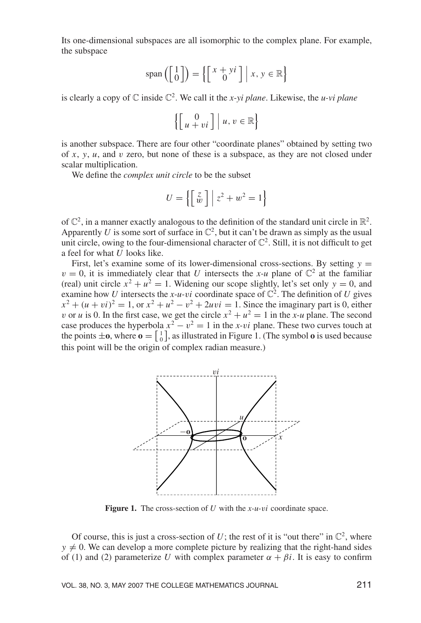Its one-dimensional subspaces are all isomorphic to the complex plane. For example, the subspace

$$
span\left(\begin{bmatrix} 1\\0 \end{bmatrix}\right) = \left\{ \begin{bmatrix} x+yi\\0 \end{bmatrix} \middle| x, y \in \mathbb{R} \right\}
$$

is clearly a copy of  $\mathbb C$  inside  $\mathbb C^2$ . We call it the *x*-vi plane. Likewise, the *u*-vi plane

$$
\left\{ \left[ \begin{array}{c} 0 \\ u + vi \end{array} \right] \middle| u, v \in \mathbb{R} \right\}
$$

is another subspace. There are four other "coordinate planes" obtained by setting two of *x*, *y*, *u*, and v zero, but none of these is a subspace, as they are not closed under scalar multiplication.

We define the *complex unit circle* to be the subset

$$
U = \left\{ \begin{bmatrix} z \\ w \end{bmatrix} \middle| z^2 + w^2 = 1 \right\}
$$

of  $\mathbb{C}^2$ , in a manner exactly analogous to the definition of the standard unit circle in  $\mathbb{R}^2$ . Apparently *U* is some sort of surface in  $\mathbb{C}^2$ , but it can't be drawn as simply as the usual unit circle, owing to the four-dimensional character of  $\mathbb{C}^2$ . Still, it is not difficult to get a feel for what *U* looks like.

First, let's examine some of its lower-dimensional cross-sections. By setting  $y =$  $v = 0$ , it is immediately clear that *U* intersects the *x-u* plane of  $\mathbb{C}^2$  at the familiar (real) unit circle  $x^2 + u^2 = 1$ . Widening our scope slightly, let's set only  $y = 0$ , and examine how *U* intersects the *x*-*u*-*vi* coordinate space of  $\mathbb{C}^2$ . The definition of *U* gives  $x^{2} + (u + vi)^{2} = 1$ , or  $x^{2} + u^{2} - v^{2} + 2uvi = 1$ . Since the imaginary part is 0, either v or *u* is 0. In the first case, we get the circle  $x^2 + u^2 = 1$  in the *x-u* plane. The second case produces the hyperbola  $x^2 - v^2 = 1$  in the *x*-v*i* plane. These two curves touch at the points  $\pm \mathbf{o}$ , where  $\mathbf{o} = \begin{bmatrix} 1 \\ 0 \end{bmatrix}$ , as illustrated in Figure 1. (The symbol  $\mathbf{o}$  is used because this point will be the origin of complex radian measure.)



**Figure 1.** The cross-section of *U* with the *x-u-*v*i* coordinate space.

Of course, this is just a cross-section of  $U$ ; the rest of it is "out there" in  $\mathbb{C}^2$ , where  $y \neq 0$ . We can develop a more complete picture by realizing that the right-hand sides of (1) and (2) parameterize *U* with complex parameter  $\alpha + \beta i$ . It is easy to confirm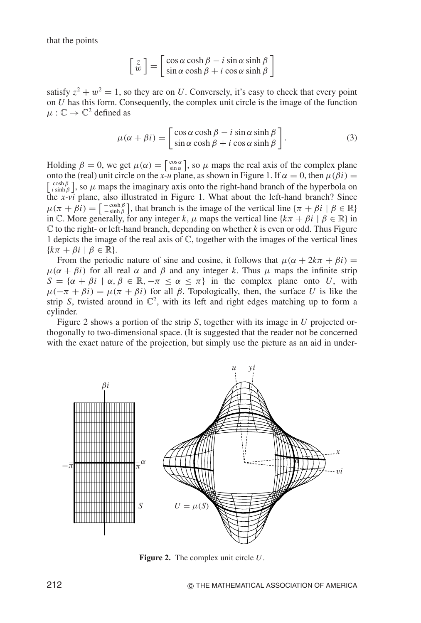that the points

$$
\begin{bmatrix} z \\ w \end{bmatrix} = \begin{bmatrix} \cos \alpha \cosh \beta - i \sin \alpha \sinh \beta \\ \sin \alpha \cosh \beta + i \cos \alpha \sinh \beta \end{bmatrix}
$$

satisfy  $z^2 + w^2 = 1$ , so they are on *U*. Conversely, it's easy to check that every point on *U* has this form. Consequently, the complex unit circle is the image of the function  $\mu : \mathbb{C} \to \mathbb{C}^2$  defined as

$$
\mu(\alpha + \beta i) = \begin{bmatrix} \cos \alpha \cosh \beta - i \sin \alpha \sinh \beta \\ \sin \alpha \cosh \beta + i \cos \alpha \sinh \beta \end{bmatrix}.
$$
 (3)

Holding  $\beta = 0$ , we get  $\mu(\alpha) = \begin{bmatrix} \cos \alpha \\ \sin \alpha \end{bmatrix}$ , so  $\mu$  maps the real axis of the complex plane onto the (real) unit circle on the *x*-*u* plane, as shown in Figure 1. If  $\alpha = 0$ , then  $\mu(\beta i) =$  $\left[\begin{array}{c} \cosh \beta \\ i \sinh \beta \end{array}\right]$ , so  $\mu$  maps the imaginary axis onto the right-hand branch of the hyperbola on the *x-vi* plane, also illustrated in Figure 1. What about the left-hand branch? Since  $\mu(\pi + \beta i) = \begin{bmatrix} -\cosh \beta \\ -\sinh \beta \end{bmatrix}$ , that branch is the image of the vertical line  $\{\pi + \beta i \mid \beta \in \mathbb{R}\}$ in C. More generally, for any integer *k*,  $\mu$  maps the vertical line { $k\pi + \beta i \mid \beta \in \mathbb{R}$ } in C to the right- or left-hand branch, depending on whether *k* is even or odd. Thus Figure 1 depicts the image of the real axis of  $\mathbb{C}$ , together with the images of the vertical lines  ${k\pi + \beta i \mid \beta \in \mathbb{R}}.$ 

From the periodic nature of sine and cosine, it follows that  $\mu(\alpha + 2k\pi + \beta i) =$  $\mu(\alpha + \beta i)$  for all real  $\alpha$  and  $\beta$  and any integer k. Thus  $\mu$  maps the infinite strip  $S = \{\alpha + \beta i \mid \alpha, \beta \in \mathbb{R}, -\pi \leq \alpha \leq \pi\}$  in the complex plane onto *U*, with  $\mu(-\pi + \beta i) = \mu(\pi + \beta i)$  for all  $\beta$ . Topologically, then, the surface *U* is like the strip *S*, twisted around in  $\mathbb{C}^2$ , with its left and right edges matching up to form a cylinder.

Figure 2 shows a portion of the strip *S*, together with its image in *U* projected orthogonally to two-dimensional space. (It is suggested that the reader not be concerned with the exact nature of the projection, but simply use the picture as an aid in under-



**Figure 2.** The complex unit circle *U*.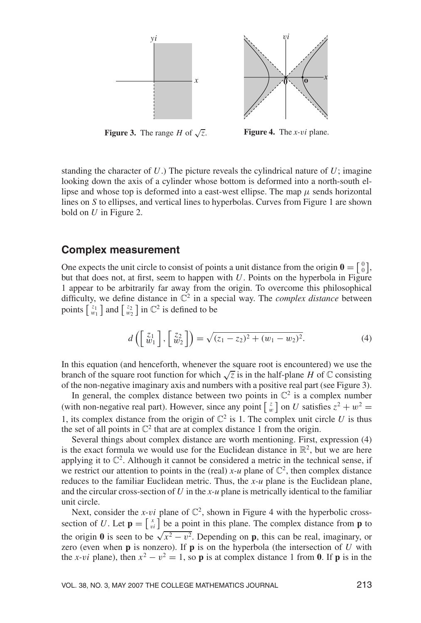

**Figure 3.** The range *H* of  $\sqrt{z}$ . **Figure 4.** The *x-*v*i* plane.

standing the character of  $U$ .) The picture reveals the cylindrical nature of  $U$ ; imagine looking down the axis of a cylinder whose bottom is deformed into a north-south ellipse and whose top is deformed into a east-west ellipse. The map  $\mu$  sends horizontal lines on *S* to ellipses, and vertical lines to hyperbolas. Curves from Figure 1 are shown bold on *U* in Figure 2.

## **Complex measurement**

One expects the unit circle to consist of points a unit distance from the origin  $\mathbf{0} = \begin{bmatrix} 0 \\ 0 \end{bmatrix}$ , but that does not, at first, seem to happen with  $U$ . Points on the hyperbola in Figure 1 appear to be arbitrarily far away from the origin. To overcome this philosophical difficulty, we define distance in  $\mathbb{C}^2$  in a special way. The *complex distance* between points  $\begin{bmatrix} z_1 \\ w_1 \end{bmatrix}$  and  $\begin{bmatrix} z_2 \\ w_2 \end{bmatrix}$  in  $\mathbb{C}^2$  is defined to be

$$
d\left(\begin{bmatrix} z_1\\w_1 \end{bmatrix}, \begin{bmatrix} z_2\\w_2 \end{bmatrix}\right) = \sqrt{(z_1 - z_2)^2 + (w_1 - w_2)^2}.
$$
 (4)

In this equation (and henceforth, whenever the square root is encountered) we use the branch of the square root function for which  $\sqrt{z}$  is in the half-plane *H* of  $\mathbb C$  consisting of the non-negative imaginary axis and numbers with a positive real part (see Figure 3).

In general, the complex distance between two points in  $\mathbb{C}^2$  is a complex number (with non-negative real part). However, since any point  $\begin{bmatrix} z \\ w \end{bmatrix}$  on *U* satisfies  $z^2 + w^2 =$ 1, its complex distance from the origin of  $\mathbb{C}^2$  is 1. The complex unit circle *U* is thus the set of all points in  $\mathbb{C}^2$  that are at complex distance 1 from the origin.

Several things about complex distance are worth mentioning. First, expression (4) is the exact formula we would use for the Euclidean distance in  $\mathbb{R}^2$ , but we are here applying it to  $\mathbb{C}^2$ . Although it cannot be considered a metric in the technical sense, if we restrict our attention to points in the (real)  $x$ -*u* plane of  $\mathbb{C}^2$ , then complex distance reduces to the familiar Euclidean metric. Thus, the *x-u* plane is the Euclidean plane, and the circular cross-section of *U* in the *x-u* plane is metrically identical to the familiar unit circle.

Next, consider the *x-vi* plane of  $\mathbb{C}^2$ , shown in Figure 4 with the hyperbolic crosssection of *U*. Let  $\mathbf{p} = \begin{bmatrix} x \\ y \end{bmatrix}$  be a point in this plane. The complex distance from **p** to the origin **0** is seen to be  $\sqrt{x^2 - v^2}$ . Depending on **p**, this can be real, imaginary, or zero (even when **p** is nonzero). If **p** is on the hyperbola (the intersection of *U* with the *x*-*vi* plane), then  $x^2 - y^2 = 1$ , so **p** is at complex distance 1 from **0**. If **p** is in the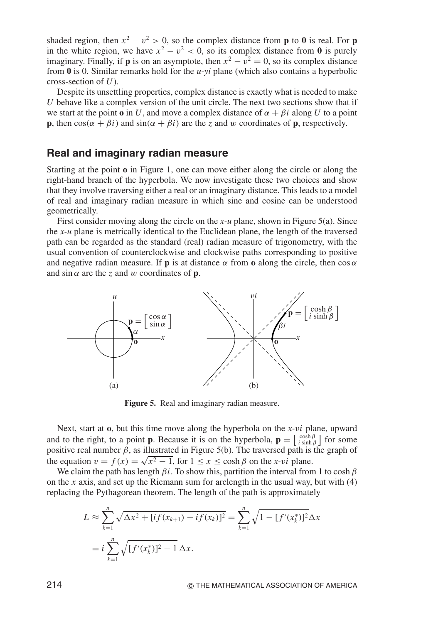shaded region, then  $x^2 - v^2 > 0$ , so the complex distance from **p** to **0** is real. For **p** in the white region, we have  $x^2 - v^2 < 0$ , so its complex distance from 0 is purely imaginary. Finally, if **p** is on an asymptote, then  $x^2 - v^2 = 0$ , so its complex distance from **0** is 0. Similar remarks hold for the *u-yi* plane (which also contains a hyperbolic cross-section of *U*).

Despite its unsettling properties, complex distance is exactly what is needed to make *U* behave like a complex version of the unit circle. The next two sections show that if we start at the point **o** in *U*, and move a complex distance of  $\alpha + \beta i$  along *U* to a point **p**, then  $\cos(\alpha + \beta i)$  and  $\sin(\alpha + \beta i)$  are the *z* and w coordinates of **p**, respectively.

## **Real and imaginary radian measure**

Starting at the point **o** in Figure 1, one can move either along the circle or along the right-hand branch of the hyperbola. We now investigate these two choices and show that they involve traversing either a real or an imaginary distance. This leads to a model of real and imaginary radian measure in which sine and cosine can be understood geometrically.

First consider moving along the circle on the *x-u* plane, shown in Figure 5(a). Since the *x-u* plane is metrically identical to the Euclidean plane, the length of the traversed path can be regarded as the standard (real) radian measure of trigonometry, with the usual convention of counterclockwise and clockwise paths corresponding to positive and negative radian measure. If **p** is at distance  $\alpha$  from **o** along the circle, then cos  $\alpha$ and  $\sin \alpha$  are the *z* and w coordinates of **p**.



**Figure 5.** Real and imaginary radian measure.

Next, start at **o**, but this time move along the hyperbola on the *x-*v*i* plane, upward and to the right, to a point **p**. Because it is on the hyperbola,  $\mathbf{p} = \begin{bmatrix} \cosh \beta \\ i \sinh \beta \end{bmatrix}$  for some positive real number  $\beta$ , as illustrated in Figure 5(b). The traversed path is the graph of the equation  $v = f(x) = \sqrt{x^2 - 1}$ , for  $1 \le x \le \cosh \beta$  on the *x*-*vi* plane.

We claim the path has length  $\beta$ *i*. To show this, partition the interval from 1 to cosh  $\beta$ on the *x* axis, and set up the Riemann sum for arclength in the usual way, but with (4) replacing the Pythagorean theorem. The length of the path is approximately

$$
L \approx \sum_{k=1}^{n} \sqrt{\Delta x^2 + [if(x_{k+1}) - if(x_k)]^2} = \sum_{k=1}^{n} \sqrt{1 - [f'(x_k^*)]^2} \Delta x
$$
  
=  $i \sum_{k=1}^{n} \sqrt{[f'(x_k^*)]^2 - 1} \Delta x$ .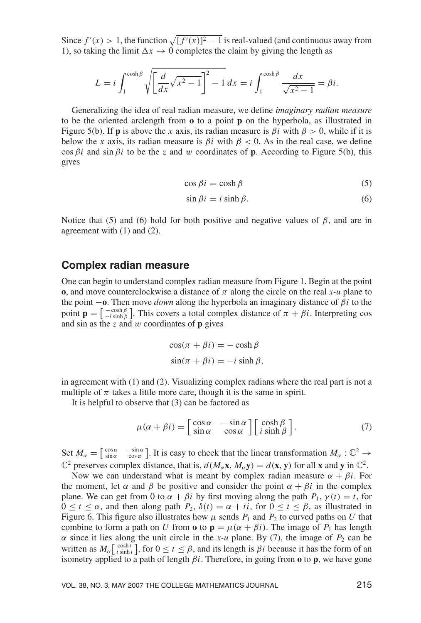Since  $f'(x) > 1$ , the function  $\sqrt{[f'(x)]^2 - 1}$  is real-valued (and continuous away from 1), so taking the limit  $\Delta x \rightarrow 0$  completes the claim by giving the length as

$$
L = i \int_1^{\cosh \beta} \sqrt{\left[\frac{d}{dx}\sqrt{x^2 - 1}\right]^2 - 1} dx = i \int_1^{\cosh \beta} \frac{dx}{\sqrt{x^2 - 1}} = \beta i.
$$

Generalizing the idea of real radian measure, we define *imaginary radian measure* to be the oriented arclength from **o** to a point **p** on the hyperbola, as illustrated in Figure 5(b). If **p** is above the *x* axis, its radian measure is  $\beta i$  with  $\beta > 0$ , while if it is below the *x* axis, its radian measure is  $\beta i$  with  $\beta < 0$ . As in the real case, we define  $\cos \beta i$  and  $\sin \beta i$  to be the *z* and w coordinates of **p**. According to Figure 5(b), this gives

$$
\cos \beta i = \cosh \beta \tag{5}
$$

$$
\sin \beta i = i \sinh \beta. \tag{6}
$$

Notice that (5) and (6) hold for both positive and negative values of  $\beta$ , and are in agreement with (1) and (2).

## **Complex radian measure**

One can begin to understand complex radian measure from Figure 1. Begin at the point **o**, and move counterclockwise a distance of  $\pi$  along the circle on the real *x-u* plane to the point  $-\mathbf{o}$ . Then move *down* along the hyperbola an imaginary distance of  $\beta i$  to the point  $\mathbf{p} = \begin{bmatrix} -\cosh \beta \\ -i \sinh \beta \end{bmatrix}$ . This covers a total complex distance of  $\pi + \beta i$ . Interpreting cos and sin as the *z* and w coordinates of **p** gives

$$
\cos(\pi + \beta i) = -\cosh\beta
$$
  

$$
\sin(\pi + \beta i) = -i\sinh\beta,
$$

in agreement with (1) and (2). Visualizing complex radians where the real part is not a multiple of  $\pi$  takes a little more care, though it is the same in spirit.

It is helpful to observe that (3) can be factored as

$$
\mu(\alpha + \beta i) = \begin{bmatrix} \cos \alpha & -\sin \alpha \\ \sin \alpha & \cos \alpha \end{bmatrix} \begin{bmatrix} \cosh \beta \\ i \sinh \beta \end{bmatrix}.
$$
 (7)

Set  $M_{\alpha} = \begin{bmatrix} \cos \alpha & -\sin \alpha \\ \sin \alpha & \cos \alpha \end{bmatrix}$ . It is easy to check that the linear transformation  $M_{\alpha}: \mathbb{C}^2 \to$  $\mathbb{C}^2$  preserves complex distance, that is,  $d(M_\alpha \mathbf{x}, M_\alpha \mathbf{y}) = d(\mathbf{x}, \mathbf{y})$  for all **x** and **y** in  $\mathbb{C}^2$ .

Now we can understand what is meant by complex radian measure  $\alpha + \beta i$ . For the moment, let  $\alpha$  and  $\beta$  be positive and consider the point  $\alpha + \beta i$  in the complex plane. We can get from 0 to  $\alpha + \beta i$  by first moving along the path  $P_1$ ,  $\gamma(t) = t$ , for  $0 \le t \le \alpha$ , and then along path  $P_2$ ,  $\delta(t) = \alpha + ti$ , for  $0 \le t \le \beta$ , as illustrated in Figure 6. This figure also illustrates how  $\mu$  sends  $P_1$  and  $P_2$  to curved paths on *U* that combine to form a path on *U* from **o** to  $\mathbf{p} = \mu(\alpha + \beta i)$ . The image of  $P_1$  has length  $\alpha$  since it lies along the unit circle in the *x*-*u* plane. By (7), the image of  $P_2$  can be written as  $M_{\alpha}$   $\begin{bmatrix} \cosh t \\ i \sinh t \end{bmatrix}$ , for  $0 \le t \le \beta$ , and its length is  $\beta i$  because it has the form of an isometry applied to a path of length  $\beta i$ . Therefore, in going from **o** to **p**, we have gone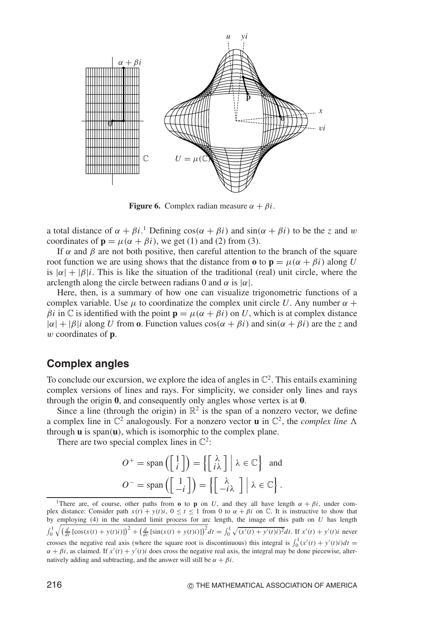

**Figure 6.** Complex radian measure  $\alpha + \beta i$ .

a total distance of  $\alpha + \beta i$ .<sup>1</sup> Defining  $\cos(\alpha + \beta i)$  and  $\sin(\alpha + \beta i)$  to be the *z* and w coordinates of  $\mathbf{p} = \mu(\alpha + \beta i)$ , we get (1) and (2) from (3).

If  $\alpha$  and  $\beta$  are not both positive, then careful attention to the branch of the square root function we are using shows that the distance from **o** to  $\mathbf{p} = \mu(\alpha + \beta i)$  along *U* is  $|\alpha| + |\beta|i|$ . This is like the situation of the traditional (real) unit circle, where the arclength along the circle between radians 0 and  $\alpha$  is  $|\alpha|$ .

Here, then, is a summary of how one can visualize trigonometric functions of a complex variable. Use  $\mu$  to coordinatize the complex unit circle *U*. Any number  $\alpha$  +  $β*i*$  in  $\mathbb C$  is identified with the point  $\mathbf p = \mu(\alpha + \beta i)$  on *U*, which is at complex distance  $|\alpha| + |\beta|i|$  along *U* from **o**. Function values  $\cos(\alpha + \beta i)$  and  $\sin(\alpha + \beta i)$  are the *z* and w coordinates of **p**.

# **Complex angles**

To conclude our excursion, we explore the idea of angles in  $\mathbb{C}^2$ . This entails examining complex versions of lines and rays. For simplicity, we consider only lines and rays through the origin **0**, and consequently only angles whose vertex is at **0**.

Since a line (through the origin) in  $\mathbb{R}^2$  is the span of a nonzero vector, we define a complex line in  $\mathbb{C}^2$  analogously. For a nonzero vector **u** in  $\mathbb{C}^2$ , the *complex line*  $\Lambda$ through **u** is span(**u**), which is isomorphic to the complex plane.

There are two special complex lines in  $\mathbb{C}^2$ :

$$
O^+ = \text{span}\left(\begin{bmatrix} 1 \\ i \end{bmatrix}\right) = \left\{\begin{bmatrix} \lambda \\ i\lambda \end{bmatrix} \middle| \lambda \in \mathbb{C} \right\} \text{ and}
$$

$$
O^- = \text{span}\left(\begin{bmatrix} 1 \\ -i \end{bmatrix}\right) = \left\{\begin{bmatrix} \lambda \\ -i\lambda \end{bmatrix} \middle| \lambda \in \mathbb{C} \right\}.
$$

<sup>&</sup>lt;sup>1</sup>There are, of course, other paths from **o** to **p** on *U*, and they all have length  $\alpha + \beta i$ , under complex distance: Consider path  $x(t) + y(t)i$ ,  $0 \le t \le 1$  from 0 to  $\alpha + \beta i$  on  $\mathbb{C}$ . It is instructive to show that by employing (4) in the standard limit process for arc length, the image of this path on *U* has length  $\int_0^1 \sqrt{\left(\frac{d}{dt} \left[ \cos(x(t) + y(t)i) \right] \right)^2 + \left(\frac{d}{dt} \left[ \sin(x(t) + y(t)i) \right] \right)^2} dt = \int_0^1 \sqrt{(x'(t) + y'(t)i)^2} dt$ . If  $x'(t) + y'(t)i$  never crosses the negative real axis (where the square root is discontinuous) this integral is  $\int_0^1 (x'(t) + y'(t)i)dt =$  $\alpha + \beta i$ , as claimed. If  $x'(t) + y'(t)i$  does cross the negative real axis, the integral may be done piecewise, alternatively adding and subtracting, and the answer will still be  $\alpha + \beta i$ .